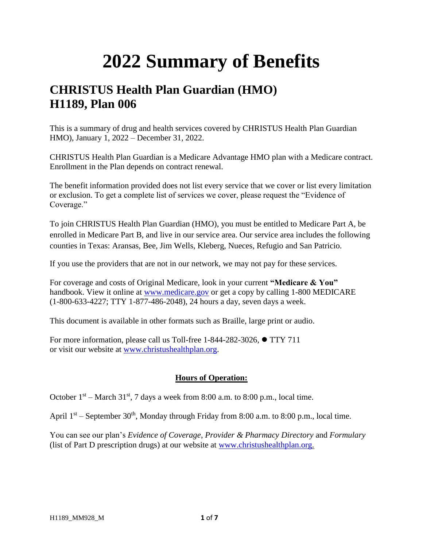## **2022 Summary of Benefits**

## **CHRISTUS Health Plan Guardian (HMO) H1189, Plan 006**

This is a summary of drug and health services covered by CHRISTUS Health Plan Guardian HMO), January 1, 2022 – December 31, 2022.

CHRISTUS Health Plan Guardian is a Medicare Advantage HMO plan with a Medicare contract. Enrollment in the Plan depends on contract renewal.

The benefit information provided does not list every service that we cover or list every limitation or exclusion. To get a complete list of services we cover, please request the "Evidence of Coverage."

To join CHRISTUS Health Plan Guardian (HMO), you must be entitled to Medicare Part A, be enrolled in Medicare Part B, and live in our service area. Our service area includes the following counties in Texas: Aransas, Bee, Jim Wells, Kleberg, Nueces, Refugio and San Patricio.

If you use the providers that are not in our network, we may not pay for these services.

For coverage and costs of Original Medicare, look in your current **"Medicare & You"**  handbook. View it online at [www.medicare.gov](http://www.medicare.gov/) or get a copy by calling 1-800 MEDICARE (1-800-633-4227; TTY 1-877-486-2048), 24 hours a day, seven days a week.

This document is available in other formats such as Braille, large print or audio.

For more information, please call us Toll-free 1-844-282-3026, ⚫ TTY 711 or visit our website at [www.christushealthplan.org.](http://www.christushealthplan.org/)

## **Hours of Operation:**

October  $1<sup>st</sup>$  – March 31<sup>st</sup>, 7 days a week from 8:00 a.m. to 8:00 p.m., local time.

April  $1<sup>st</sup>$  – September 30<sup>th</sup>, Monday through Friday from 8:00 a.m. to 8:00 p.m., local time.

You can see our plan's *Evidence of Coverage*, *Provider & Pharmacy Directory* and *Formulary* (list of Part D prescription drugs) at our website at [www.christushealthplan.org.](http://www.christushealthplan.org/)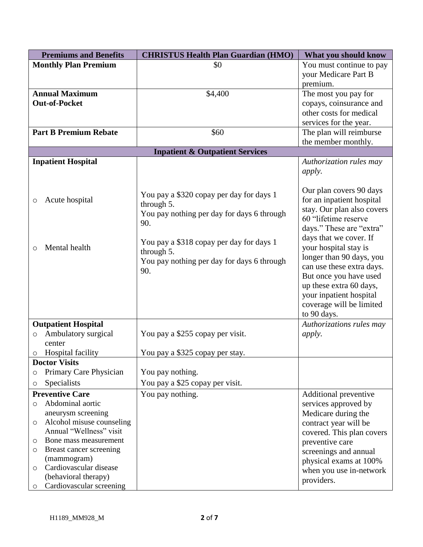|         | <b>Premiums and Benefits</b> | <b>CHRISTUS Health Plan Guardian (HMO)</b> | What you should know       |
|---------|------------------------------|--------------------------------------------|----------------------------|
|         | <b>Monthly Plan Premium</b>  | \$0                                        | You must continue to pay   |
|         |                              |                                            | your Medicare Part B       |
|         |                              |                                            | premium.                   |
|         | <b>Annual Maximum</b>        | \$4,400                                    | The most you pay for       |
|         | <b>Out-of-Pocket</b>         |                                            | copays, coinsurance and    |
|         |                              |                                            | other costs for medical    |
|         |                              |                                            | services for the year.     |
|         | <b>Part B Premium Rebate</b> | \$60                                       | The plan will reimburse    |
|         |                              |                                            | the member monthly.        |
|         |                              | <b>Inpatient &amp; Outpatient Services</b> |                            |
|         | <b>Inpatient Hospital</b>    |                                            | Authorization rules may    |
|         |                              |                                            | <i>apply.</i>              |
|         |                              |                                            |                            |
|         |                              |                                            | Our plan covers 90 days    |
| O       | Acute hospital               | You pay a \$320 copay per day for days 1   | for an inpatient hospital  |
|         |                              | through 5.                                 | stay. Our plan also covers |
|         |                              | You pay nothing per day for days 6 through | 60 "lifetime reserve       |
|         |                              | 90.                                        | days." These are "extra"   |
|         |                              |                                            | days that we cover. If     |
| $\circ$ | Mental health                | You pay a \$318 copay per day for days 1   | your hospital stay is      |
|         |                              | through 5.                                 | longer than 90 days, you   |
|         |                              | You pay nothing per day for days 6 through | can use these extra days.  |
|         |                              | 90.                                        | But once you have used     |
|         |                              |                                            | up these extra 60 days,    |
|         |                              |                                            | your inpatient hospital    |
|         |                              |                                            | coverage will be limited   |
|         |                              |                                            | to 90 days.                |
|         | <b>Outpatient Hospital</b>   |                                            | Authorizations rules may   |
| O       | Ambulatory surgical          | You pay a \$255 copay per visit.           | <i>apply.</i>              |
|         | center                       |                                            |                            |
| O       | <b>Hospital facility</b>     | You pay a \$325 copay per stay.            |                            |
|         | <b>Doctor Visits</b>         |                                            |                            |
| O       | Primary Care Physician       | You pay nothing.                           |                            |
| O       | Specialists                  | You pay a \$25 copay per visit.            |                            |
|         | <b>Preventive Care</b>       | You pay nothing.                           | Additional preventive      |
| $\circ$ | Abdominal aortic             |                                            | services approved by       |
|         | aneurysm screening           |                                            | Medicare during the        |
| O       | Alcohol misuse counseling    |                                            | contract year will be      |
|         | Annual "Wellness" visit      |                                            | covered. This plan covers  |
| O       | Bone mass measurement        |                                            | preventive care            |
| O       | Breast cancer screening      |                                            | screenings and annual      |
|         | (mammogram)                  |                                            | physical exams at 100%     |
| O       | Cardiovascular disease       |                                            | when you use in-network    |
|         | (behavioral therapy)         |                                            | providers.                 |
| $\circ$ | Cardiovascular screening     |                                            |                            |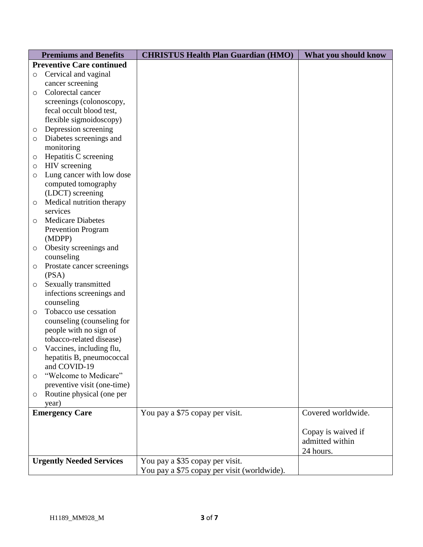|                                 | <b>Premiums and Benefits</b>                         | <b>CHRISTUS Health Plan Guardian (HMO)</b>  | What you should know |
|---------------------------------|------------------------------------------------------|---------------------------------------------|----------------------|
|                                 | <b>Preventive Care continued</b>                     |                                             |                      |
| $\circ$                         | Cervical and vaginal                                 |                                             |                      |
|                                 | cancer screening                                     |                                             |                      |
| $\circ$                         | Colorectal cancer                                    |                                             |                      |
|                                 | screenings (colonoscopy,                             |                                             |                      |
|                                 | fecal occult blood test,                             |                                             |                      |
|                                 | flexible sigmoidoscopy)                              |                                             |                      |
| O                               | Depression screening                                 |                                             |                      |
| $\circ$                         | Diabetes screenings and                              |                                             |                      |
|                                 | monitoring                                           |                                             |                      |
| O                               | Hepatitis C screening                                |                                             |                      |
| $\circ$                         | HIV screening                                        |                                             |                      |
| $\circ$                         | Lung cancer with low dose                            |                                             |                      |
|                                 | computed tomography                                  |                                             |                      |
|                                 | (LDCT) screening                                     |                                             |                      |
| O                               | Medical nutrition therapy                            |                                             |                      |
|                                 | services                                             |                                             |                      |
| $\circ$                         | <b>Medicare Diabetes</b>                             |                                             |                      |
|                                 | <b>Prevention Program</b>                            |                                             |                      |
|                                 | (MDPP)                                               |                                             |                      |
| $\circ$                         | Obesity screenings and                               |                                             |                      |
|                                 | counseling                                           |                                             |                      |
| O                               | Prostate cancer screenings                           |                                             |                      |
|                                 | (PSA)                                                |                                             |                      |
| $\circ$                         | Sexually transmitted                                 |                                             |                      |
|                                 | infections screenings and                            |                                             |                      |
|                                 | counseling                                           |                                             |                      |
| $\circ$                         | Tobacco use cessation                                |                                             |                      |
|                                 | counseling (counseling for                           |                                             |                      |
|                                 | people with no sign of                               |                                             |                      |
|                                 | tobacco-related disease)                             |                                             |                      |
| $\circ$                         | Vaccines, including flu,                             |                                             |                      |
|                                 | hepatitis B, pneumococcal                            |                                             |                      |
|                                 | and COVID-19                                         |                                             |                      |
| $\circ$                         | "Welcome to Medicare"<br>preventive visit (one-time) |                                             |                      |
|                                 | Routine physical (one per                            |                                             |                      |
| $\circlearrowright$             | year)                                                |                                             |                      |
|                                 | <b>Emergency Care</b>                                | You pay a \$75 copay per visit.             | Covered worldwide.   |
|                                 |                                                      |                                             |                      |
|                                 |                                                      |                                             | Copay is waived if   |
|                                 |                                                      |                                             | admitted within      |
|                                 |                                                      |                                             | 24 hours.            |
| <b>Urgently Needed Services</b> |                                                      | You pay a \$35 copay per visit.             |                      |
|                                 |                                                      | You pay a \$75 copay per visit (worldwide). |                      |
|                                 |                                                      |                                             |                      |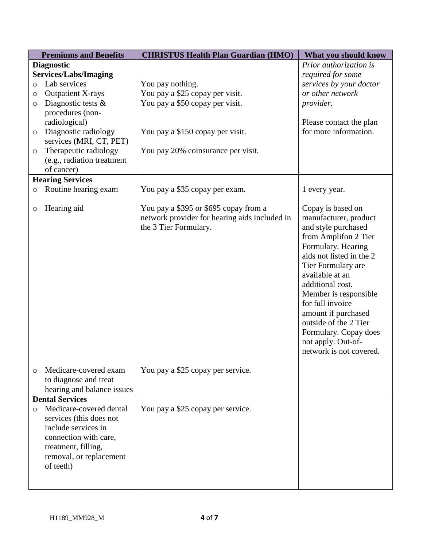| <b>Premiums and Benefits</b> |                                                      | <b>CHRISTUS Health Plan Guardian (HMO)</b>    | What you should know     |
|------------------------------|------------------------------------------------------|-----------------------------------------------|--------------------------|
|                              | <b>Diagnostic</b>                                    |                                               | Prior authorization is   |
|                              | <b>Services/Labs/Imaging</b>                         |                                               | required for some        |
| $\circ$                      | Lab services                                         | You pay nothing.                              | services by your doctor  |
| O                            | <b>Outpatient X-rays</b>                             | You pay a \$25 copay per visit.               | or other network         |
| $\circ$                      | Diagnostic tests $\&$                                | You pay a \$50 copay per visit.               | provider.                |
|                              | procedures (non-                                     |                                               |                          |
|                              | radiological)                                        |                                               | Please contact the plan  |
| $\circ$                      | Diagnostic radiology                                 | You pay a \$150 copay per visit.              | for more information.    |
|                              | services (MRI, CT, PET)                              |                                               |                          |
| $\circ$                      | Therapeutic radiology                                | You pay 20% coinsurance per visit.            |                          |
|                              | (e.g., radiation treatment                           |                                               |                          |
|                              | of cancer)                                           |                                               |                          |
|                              | <b>Hearing Services</b>                              |                                               |                          |
| $\circ$                      | Routine hearing exam                                 | You pay a \$35 copay per exam.                | 1 every year.            |
|                              |                                                      |                                               |                          |
| O                            | Hearing aid                                          | You pay a \$395 or \$695 copay from a         | Copay is based on        |
|                              |                                                      | network provider for hearing aids included in | manufacturer, product    |
|                              |                                                      | the 3 Tier Formulary.                         | and style purchased      |
|                              |                                                      |                                               | from Amplifon 2 Tier     |
|                              |                                                      |                                               | Formulary. Hearing       |
|                              |                                                      |                                               | aids not listed in the 2 |
|                              |                                                      |                                               | Tier Formulary are       |
|                              |                                                      |                                               | available at an          |
|                              |                                                      |                                               | additional cost.         |
|                              |                                                      |                                               | Member is responsible    |
|                              |                                                      |                                               | for full invoice         |
|                              |                                                      |                                               | amount if purchased      |
|                              |                                                      |                                               | outside of the 2 Tier    |
|                              |                                                      |                                               | Formulary. Copay does    |
|                              |                                                      |                                               | not apply. Out-of-       |
|                              |                                                      |                                               | network is not covered.  |
|                              |                                                      |                                               |                          |
| $\circ$                      | Medicare-covered exam                                | You pay a \$25 copay per service.             |                          |
|                              | to diagnose and treat                                |                                               |                          |
|                              | hearing and balance issues<br><b>Dental Services</b> |                                               |                          |
|                              | Medicare-covered dental                              | You pay a \$25 copay per service.             |                          |
| $\circ$                      |                                                      |                                               |                          |
|                              | services (this does not                              |                                               |                          |
|                              | include services in                                  |                                               |                          |
|                              | connection with care,                                |                                               |                          |
|                              | treatment, filling,                                  |                                               |                          |
|                              | removal, or replacement                              |                                               |                          |
|                              | of teeth)                                            |                                               |                          |
|                              |                                                      |                                               |                          |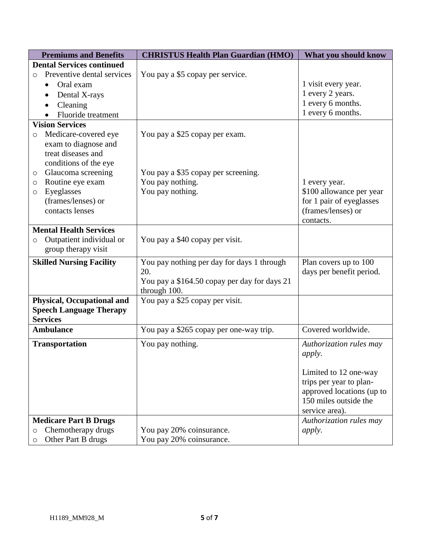| <b>Premiums and Benefits</b>          | <b>CHRISTUS Health Plan Guardian (HMO)</b>   | What you should know      |
|---------------------------------------|----------------------------------------------|---------------------------|
| <b>Dental Services continued</b>      |                                              |                           |
| Preventive dental services<br>$\circ$ | You pay a \$5 copay per service.             |                           |
| Oral exam<br>$\bullet$                |                                              | 1 visit every year.       |
| Dental X-rays                         |                                              | 1 every 2 years.          |
| Cleaning                              |                                              | 1 every 6 months.         |
| Fluoride treatment                    |                                              | 1 every 6 months.         |
| <b>Vision Services</b>                |                                              |                           |
| Medicare-covered eye<br>$\circ$       | You pay a \$25 copay per exam.               |                           |
| exam to diagnose and                  |                                              |                           |
| treat diseases and                    |                                              |                           |
| conditions of the eye                 |                                              |                           |
| Glaucoma screening<br>$\circ$         | You pay a \$35 copay per screening.          |                           |
| Routine eye exam<br>O                 | You pay nothing.                             | 1 every year.             |
| Eyeglasses<br>O                       | You pay nothing.                             | \$100 allowance per year  |
| (frames/lenses) or                    |                                              | for 1 pair of eyeglasses  |
| contacts lenses                       |                                              | (frames/lenses) or        |
|                                       |                                              | contacts.                 |
| <b>Mental Health Services</b>         |                                              |                           |
| Outpatient individual or<br>$\circ$   | You pay a \$40 copay per visit.              |                           |
| group therapy visit                   |                                              |                           |
| <b>Skilled Nursing Facility</b>       | You pay nothing per day for days 1 through   | Plan covers up to 100     |
|                                       | 20.                                          | days per benefit period.  |
|                                       | You pay a \$164.50 copay per day for days 21 |                           |
|                                       | through 100.                                 |                           |
| <b>Physical, Occupational and</b>     | You pay a \$25 copay per visit.              |                           |
| <b>Speech Language Therapy</b>        |                                              |                           |
| <b>Services</b>                       |                                              |                           |
| <b>Ambulance</b>                      | You pay a \$265 copay per one-way trip.      | Covered worldwide.        |
| <b>Transportation</b>                 | You pay nothing.                             | Authorization rules may   |
|                                       |                                              | <i>apply.</i>             |
|                                       |                                              |                           |
|                                       |                                              | Limited to 12 one-way     |
|                                       |                                              | trips per year to plan-   |
|                                       |                                              | approved locations (up to |
|                                       |                                              | 150 miles outside the     |
|                                       |                                              | service area).            |
| <b>Medicare Part B Drugs</b>          |                                              | Authorization rules may   |
| Chemotherapy drugs<br>$\circ$         | You pay 20% coinsurance.                     | <i>apply.</i>             |
| Other Part B drugs<br>$\circ$         | You pay 20% coinsurance.                     |                           |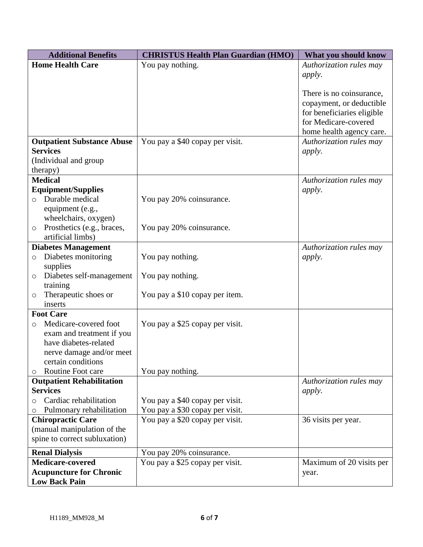| <b>Additional Benefits</b>                   | <b>CHRISTUS Health Plan Guardian (HMO)</b> | What you should know       |
|----------------------------------------------|--------------------------------------------|----------------------------|
| <b>Home Health Care</b>                      | You pay nothing.                           | Authorization rules may    |
|                                              |                                            | apply.                     |
|                                              |                                            |                            |
|                                              |                                            | There is no coinsurance,   |
|                                              |                                            | copayment, or deductible   |
|                                              |                                            | for beneficiaries eligible |
|                                              |                                            | for Medicare-covered       |
|                                              |                                            | home health agency care.   |
| <b>Outpatient Substance Abuse</b>            | You pay a \$40 copay per visit.            | Authorization rules may    |
| <b>Services</b>                              |                                            | <i>apply.</i>              |
| (Individual and group                        |                                            |                            |
| therapy)                                     |                                            |                            |
| <b>Medical</b>                               |                                            | Authorization rules may    |
| <b>Equipment/Supplies</b>                    |                                            | <i>apply.</i>              |
| Durable medical<br>$\circ$                   | You pay 20% coinsurance.                   |                            |
| equipment (e.g.,                             |                                            |                            |
| wheelchairs, oxygen)                         |                                            |                            |
| Prosthetics (e.g., braces,<br>O              | You pay 20% coinsurance.                   |                            |
| artificial limbs)                            |                                            |                            |
| <b>Diabetes Management</b>                   |                                            | Authorization rules may    |
| Diabetes monitoring<br>$\circ$               | You pay nothing.                           | <i>apply.</i>              |
| supplies                                     |                                            |                            |
| Diabetes self-management<br>$\circ$          | You pay nothing.                           |                            |
| training                                     |                                            |                            |
| Therapeutic shoes or<br>O                    | You pay a \$10 copay per item.             |                            |
| inserts                                      |                                            |                            |
| <b>Foot Care</b><br>Medicare-covered foot    |                                            |                            |
| O<br>exam and treatment if you               | You pay a \$25 copay per visit.            |                            |
| have diabetes-related                        |                                            |                            |
|                                              |                                            |                            |
| nerve damage and/or meet                     |                                            |                            |
| certain conditions<br>Routine Foot care<br>O | You pay nothing.                           |                            |
| <b>Outpatient Rehabilitation</b>             |                                            | Authorization rules may    |
| <b>Services</b>                              |                                            | <i>apply.</i>              |
| Cardiac rehabilitation<br>O                  | You pay a \$40 copay per visit.            |                            |
| Pulmonary rehabilitation<br>O                | You pay a \$30 copay per visit.            |                            |
| <b>Chiropractic Care</b>                     | You pay a \$20 copay per visit.            | 36 visits per year.        |
| (manual manipulation of the                  |                                            |                            |
| spine to correct subluxation)                |                                            |                            |
| <b>Renal Dialysis</b>                        | You pay 20% coinsurance.                   |                            |
| <b>Medicare-covered</b>                      | You pay a \$25 copay per visit.            | Maximum of 20 visits per   |
| <b>Acupuncture for Chronic</b>               |                                            | year.                      |
| <b>Low Back Pain</b>                         |                                            |                            |